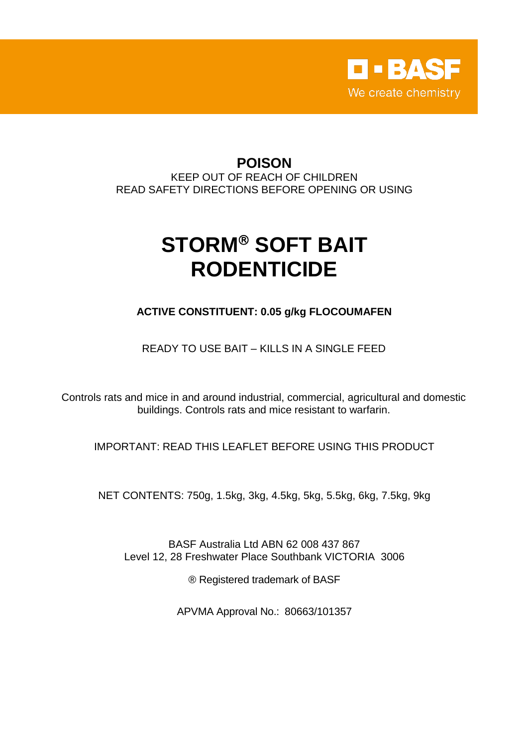

# **POISON**

KEEP OUT OF REACH OF CHILDREN READ SAFETY DIRECTIONS BEFORE OPENING OR USING

# **STORM® SOFT BAIT RODENTICIDE**

**ACTIVE CONSTITUENT: 0.05 g/kg FLOCOUMAFEN**

READY TO USE BAIT – KILLS IN A SINGLE FEED

Controls rats and mice in and around industrial, commercial, agricultural and domestic buildings. Controls rats and mice resistant to warfarin.

IMPORTANT: READ THIS LEAFLET BEFORE USING THIS PRODUCT

NET CONTENTS: 750g, 1.5kg, 3kg, 4.5kg, 5kg, 5.5kg, 6kg, 7.5kg, 9kg

BASF Australia Ltd ABN 62 008 437 867 Level 12, 28 Freshwater Place Southbank VICTORIA 3006

® Registered trademark of BASF

APVMA Approval No.: 80663/101357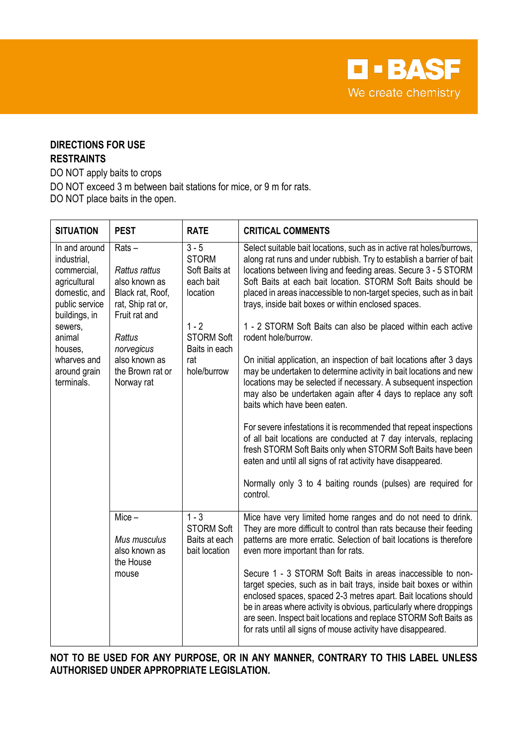**D-BASF** We create chemistry

# **DIRECTIONS FOR USE RESTRAINTS**

DO NOT apply baits to crops

DO NOT exceed 3 m between bait stations for mice, or 9 m for rats.

DO NOT place baits in the open.

| <b>SITUATION</b>                                                                                                                                                                             | <b>PEST</b>                                                                                                                                                                            | <b>RATE</b>                                                                                                                              | <b>CRITICAL COMMENTS</b>                                                                                                                                                                                                                                                                                                                                                                                                                                                                                                                                                                                                                                                                                                                                                                                                                                                                                                                                                                                                                                                                                                                                                  |
|----------------------------------------------------------------------------------------------------------------------------------------------------------------------------------------------|----------------------------------------------------------------------------------------------------------------------------------------------------------------------------------------|------------------------------------------------------------------------------------------------------------------------------------------|---------------------------------------------------------------------------------------------------------------------------------------------------------------------------------------------------------------------------------------------------------------------------------------------------------------------------------------------------------------------------------------------------------------------------------------------------------------------------------------------------------------------------------------------------------------------------------------------------------------------------------------------------------------------------------------------------------------------------------------------------------------------------------------------------------------------------------------------------------------------------------------------------------------------------------------------------------------------------------------------------------------------------------------------------------------------------------------------------------------------------------------------------------------------------|
| In and around<br>industrial.<br>commercial,<br>agricultural<br>domestic, and<br>public service<br>buildings, in<br>sewers,<br>animal<br>houses,<br>wharves and<br>around grain<br>terminals. | $Rats -$<br>Rattus rattus<br>also known as<br>Black rat, Roof,<br>rat, Ship rat or,<br>Fruit rat and<br><b>Rattus</b><br>norvegicus<br>also known as<br>the Brown rat or<br>Norway rat | $3 - 5$<br><b>STORM</b><br>Soft Baits at<br>each bait<br>location<br>$1 - 2$<br><b>STORM Soft</b><br>Baits in each<br>rat<br>hole/burrow | Select suitable bait locations, such as in active rat holes/burrows,<br>along rat runs and under rubbish. Try to establish a barrier of bait<br>locations between living and feeding areas. Secure 3 - 5 STORM<br>Soft Baits at each bait location. STORM Soft Baits should be<br>placed in areas inaccessible to non-target species, such as in bait<br>trays, inside bait boxes or within enclosed spaces.<br>1 - 2 STORM Soft Baits can also be placed within each active<br>rodent hole/burrow.<br>On initial application, an inspection of bait locations after 3 days<br>may be undertaken to determine activity in bait locations and new<br>locations may be selected if necessary. A subsequent inspection<br>may also be undertaken again after 4 days to replace any soft<br>baits which have been eaten.<br>For severe infestations it is recommended that repeat inspections<br>of all bait locations are conducted at 7 day intervals, replacing<br>fresh STORM Soft Baits only when STORM Soft Baits have been<br>eaten and until all signs of rat activity have disappeared.<br>Normally only 3 to 4 baiting rounds (pulses) are required for<br>control. |
|                                                                                                                                                                                              | $Mice -$<br>Mus musculus<br>also known as<br>the House<br>mouse                                                                                                                        | $1 - 3$<br><b>STORM Soft</b><br>Baits at each<br>bait location                                                                           | Mice have very limited home ranges and do not need to drink.<br>They are more difficult to control than rats because their feeding<br>patterns are more erratic. Selection of bait locations is therefore<br>even more important than for rats.<br>Secure 1 - 3 STORM Soft Baits in areas inaccessible to non-<br>target species, such as in bait trays, inside bait boxes or within<br>enclosed spaces, spaced 2-3 metres apart. Bait locations should<br>be in areas where activity is obvious, particularly where droppings<br>are seen. Inspect bait locations and replace STORM Soft Baits as<br>for rats until all signs of mouse activity have disappeared.                                                                                                                                                                                                                                                                                                                                                                                                                                                                                                        |

**NOT TO BE USED FOR ANY PURPOSE, OR IN ANY MANNER, CONTRARY TO THIS LABEL UNLESS AUTHORISED UNDER APPROPRIATE LEGISLATION.**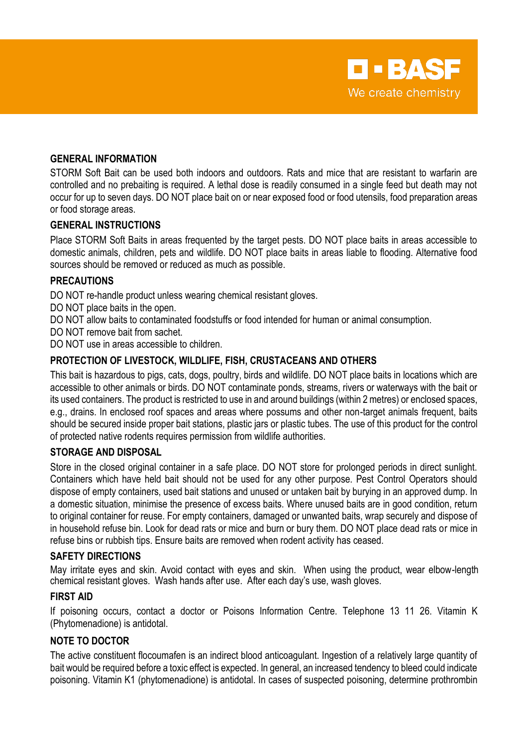

#### **GENERAL INFORMATION**

STORM Soft Bait can be used both indoors and outdoors. Rats and mice that are resistant to warfarin are controlled and no prebaiting is required. A lethal dose is readily consumed in a single feed but death may not occur for up to seven days. DO NOT place bait on or near exposed food or food utensils, food preparation areas or food storage areas.

#### **GENERAL INSTRUCTIONS**

Place STORM Soft Baits in areas frequented by the target pests. DO NOT place baits in areas accessible to domestic animals, children, pets and wildlife. DO NOT place baits in areas liable to flooding. Alternative food sources should be removed or reduced as much as possible.

#### **PRECAUTIONS**

DO NOT re-handle product unless wearing chemical resistant gloves.

- DO NOT place baits in the open.
- DO NOT allow baits to contaminated foodstuffs or food intended for human or animal consumption.
- DO NOT remove bait from sachet.

DO NOT use in areas accessible to children.

#### **PROTECTION OF LIVESTOCK, WILDLIFE, FISH, CRUSTACEANS AND OTHERS**

This bait is hazardous to pigs, cats, dogs, poultry, birds and wildlife. DO NOT place baits in locations which are accessible to other animals or birds. DO NOT contaminate ponds, streams, rivers or waterways with the bait or its used containers. The product is restricted to use in and around buildings (within 2 metres) or enclosed spaces, e.g., drains. In enclosed roof spaces and areas where possums and other non-target animals frequent, baits should be secured inside proper bait stations, plastic jars or plastic tubes. The use of this product for the control of protected native rodents requires permission from wildlife authorities.

#### **STORAGE AND DISPOSAL**

Store in the closed original container in a safe place. DO NOT store for prolonged periods in direct sunlight. Containers which have held bait should not be used for any other purpose. Pest Control Operators should dispose of empty containers, used bait stations and unused or untaken bait by burying in an approved dump. In a domestic situation, minimise the presence of excess baits. Where unused baits are in good condition, return to original container for reuse. For empty containers, damaged or unwanted baits, wrap securely and dispose of in household refuse bin. Look for dead rats or mice and burn or bury them. DO NOT place dead rats or mice in refuse bins or rubbish tips. Ensure baits are removed when rodent activity has ceased.

#### **SAFETY DIRECTIONS**

May irritate eyes and skin. Avoid contact with eyes and skin. When using the product, wear elbow-length chemical resistant gloves. Wash hands after use. After each day's use, wash gloves.

#### **FIRST AID**

If poisoning occurs, contact a doctor or Poisons Information Centre. Telephone 13 11 26. Vitamin K (Phytomenadione) is antidotal.

#### **NOTE TO DOCTOR**

The active constituent flocoumafen is an indirect blood anticoagulant. Ingestion of a relatively large quantity of bait would be required before a toxic effect is expected. In general, an increased tendency to bleed could indicate poisoning. Vitamin K1 (phytomenadione) is antidotal. In cases of suspected poisoning, determine prothrombin